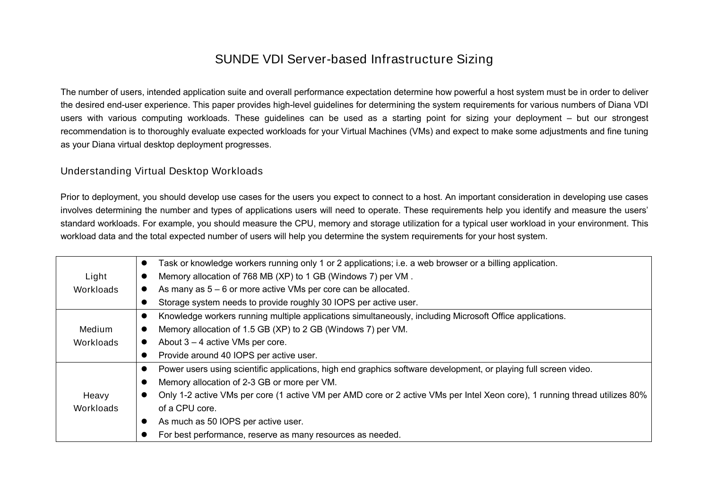## SUNDE VDI Server-based Infrastructure Sizing

The number of users, intended application suite and overall performance expectation determine how powerful a host system must be in order to deliver the desired end-user experience. This paper provides high-level guidelines for determining the system requirements for various numbers of Diana VDI users with various computing workloads. These guidelines can be used as a starting point for sizing your deployment – but our strongest recommendation is to thoroughly evaluate expected workloads for your Virtual Machines (VMs) and expect to make some adjustments and fine tuning as your Diana virtual desktop deployment progresses.

## Understanding Virtual Desktop Workloads

Prior to deployment, you should develop use cases for the users you expect to connect to a host. An important consideration in developing use cases involves determining the number and types of applications users will need to operate. These requirements help you identify and measure the users' standard workloads. For example, you should measure the CPU, memory and storage utilization for a typical user workload in your environment. This workload data and the total expected number of users will help you determine the system requirements for your host system.

|           | Task or knowledge workers running only 1 or 2 applications; i.e. a web browser or a billing application.<br>$\bullet$      |  |  |  |  |  |  |  |
|-----------|----------------------------------------------------------------------------------------------------------------------------|--|--|--|--|--|--|--|
| Light     | Memory allocation of 768 MB (XP) to 1 GB (Windows 7) per VM.                                                               |  |  |  |  |  |  |  |
| Workloads | As many as $5 - 6$ or more active VMs per core can be allocated.                                                           |  |  |  |  |  |  |  |
|           | Storage system needs to provide roughly 30 IOPS per active user.                                                           |  |  |  |  |  |  |  |
|           | Knowledge workers running multiple applications simultaneously, including Microsoft Office applications.<br>$\bullet$      |  |  |  |  |  |  |  |
| Medium    | Memory allocation of 1.5 GB (XP) to 2 GB (Windows 7) per VM.                                                               |  |  |  |  |  |  |  |
| Workloads | About $3 - 4$ active VMs per core.                                                                                         |  |  |  |  |  |  |  |
|           | Provide around 40 IOPS per active user.                                                                                    |  |  |  |  |  |  |  |
|           | Power users using scientific applications, high end graphics software development, or playing full screen video.           |  |  |  |  |  |  |  |
|           | Memory allocation of 2-3 GB or more per VM.                                                                                |  |  |  |  |  |  |  |
| Heavy     | Only 1-2 active VMs per core (1 active VM per AMD core or 2 active VMs per Intel Xeon core), 1 running thread utilizes 80% |  |  |  |  |  |  |  |
| Workloads | of a CPU core.                                                                                                             |  |  |  |  |  |  |  |
|           | As much as 50 IOPS per active user.                                                                                        |  |  |  |  |  |  |  |
|           | For best performance, reserve as many resources as needed.                                                                 |  |  |  |  |  |  |  |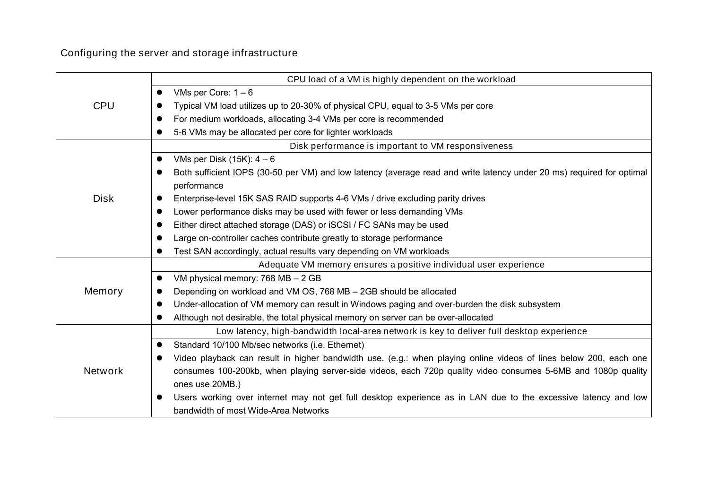Configuring the server and storage infrastructure

|                | CPU load of a VM is highly dependent on the workload                                                                                                   |  |  |  |  |  |  |  |
|----------------|--------------------------------------------------------------------------------------------------------------------------------------------------------|--|--|--|--|--|--|--|
|                | VMs per Core: $1 - 6$<br>$\bullet$                                                                                                                     |  |  |  |  |  |  |  |
| <b>CPU</b>     | Typical VM load utilizes up to 20-30% of physical CPU, equal to 3-5 VMs per core                                                                       |  |  |  |  |  |  |  |
|                | For medium workloads, allocating 3-4 VMs per core is recommended<br>$\bullet$                                                                          |  |  |  |  |  |  |  |
|                | 5-6 VMs may be allocated per core for lighter workloads                                                                                                |  |  |  |  |  |  |  |
|                | Disk performance is important to VM responsiveness                                                                                                     |  |  |  |  |  |  |  |
|                | VMs per Disk $(15K)$ : $4-6$<br>$\bullet$                                                                                                              |  |  |  |  |  |  |  |
|                | Both sufficient IOPS (30-50 per VM) and low latency (average read and write latency under 20 ms) required for optimal<br>performance                   |  |  |  |  |  |  |  |
| <b>Disk</b>    | Enterprise-level 15K SAS RAID supports 4-6 VMs / drive excluding parity drives<br>$\bullet$                                                            |  |  |  |  |  |  |  |
|                | Lower performance disks may be used with fewer or less demanding VMs                                                                                   |  |  |  |  |  |  |  |
|                | Either direct attached storage (DAS) or iSCSI / FC SANs may be used                                                                                    |  |  |  |  |  |  |  |
|                | Large on-controller caches contribute greatly to storage performance                                                                                   |  |  |  |  |  |  |  |
|                | Test SAN accordingly, actual results vary depending on VM workloads                                                                                    |  |  |  |  |  |  |  |
|                | Adequate VM memory ensures a positive individual user experience                                                                                       |  |  |  |  |  |  |  |
|                | VM physical memory: 768 MB - 2 GB<br>$\bullet$                                                                                                         |  |  |  |  |  |  |  |
| Memory         | Depending on workload and VM OS, 768 MB - 2GB should be allocated                                                                                      |  |  |  |  |  |  |  |
|                | Under-allocation of VM memory can result in Windows paging and over-burden the disk subsystem                                                          |  |  |  |  |  |  |  |
|                | Although not desirable, the total physical memory on server can be over-allocated                                                                      |  |  |  |  |  |  |  |
|                | Low latency, high-bandwidth local-area network is key to deliver full desktop experience                                                               |  |  |  |  |  |  |  |
|                | Standard 10/100 Mb/sec networks (i.e. Ethernet)<br>$\bullet$                                                                                           |  |  |  |  |  |  |  |
|                | Video playback can result in higher bandwidth use. (e.g.: when playing online videos of lines below 200, each one<br>$\bullet$                         |  |  |  |  |  |  |  |
| <b>Network</b> | consumes 100-200kb, when playing server-side videos, each 720p quality video consumes 5-6MB and 1080p quality                                          |  |  |  |  |  |  |  |
|                | ones use 20MB.)                                                                                                                                        |  |  |  |  |  |  |  |
|                | Users working over internet may not get full desktop experience as in LAN due to the excessive latency and low<br>bandwidth of most Wide-Area Networks |  |  |  |  |  |  |  |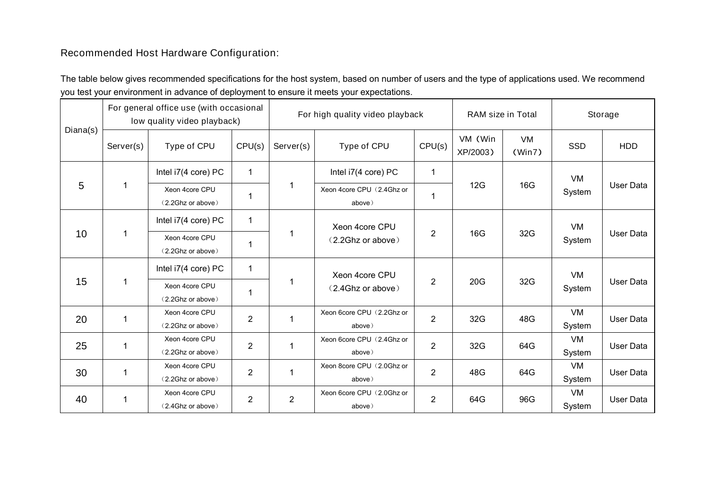## Recommended Host Hardware Configuration:

The table below gives recommended specifications for the host system, based on number of users and the type of applications used. We recommend you test your environment in advance of deployment to ensure it meets your expectations.

| Diana(s) | For general office use (with occasional<br>low quality video playback) |                                     |                | For high quality video playback |                                     |                | RAM size in Total   |              | Storage             |                  |
|----------|------------------------------------------------------------------------|-------------------------------------|----------------|---------------------------------|-------------------------------------|----------------|---------------------|--------------|---------------------|------------------|
|          | Server(s)                                                              | Type of CPU                         | CPU(s)         | Server(s)                       | Type of CPU                         | CPU(s)         | VM (Win<br>XP/2003) | VM<br>(Win7) | <b>SSD</b>          | <b>HDD</b>       |
| 5        | 1                                                                      | Intel i7(4 core) PC                 | $\mathbf{1}$   | 1                               | Intel i7(4 core) PC                 | $\mathbf 1$    | 12G                 | 16G          | VM<br>System        | User Data        |
|          |                                                                        | Xeon 4core CPU<br>(2.2Ghz or above) |                |                                 | Xeon 4core CPU (2.4Ghz or<br>above) | 1              |                     |              |                     |                  |
| 10       | 1                                                                      | Intel i7(4 core) PC                 | $\mathbf 1$    | 1                               | Xeon 4core CPU<br>(2.2Ghz or above) | $\overline{2}$ | 16G                 | 32G          | <b>VM</b><br>System | <b>User Data</b> |
|          |                                                                        | Xeon 4core CPU<br>(2.2Ghz or above) |                |                                 |                                     |                |                     |              |                     |                  |
| 15       | 1                                                                      | Intel i7(4 core) PC                 | $\mathbf 1$    | 1                               | Xeon 4core CPU<br>(2.4Ghz or above) | $\overline{2}$ | 20G                 | 32G          | VM<br>System        | <b>User Data</b> |
|          |                                                                        | Xeon 4core CPU<br>(2.2Ghz or above) |                |                                 |                                     |                |                     |              |                     |                  |
| 20       | 1                                                                      | Xeon 4core CPU<br>(2.2Ghz or above) | $\overline{2}$ | $\mathbf{1}$                    | Xeon 6core CPU (2.2Ghz or<br>above) | $\overline{2}$ | 32G                 | 48G          | <b>VM</b><br>System | User Data        |
| 25       | 1                                                                      | Xeon 4core CPU<br>(2.2Ghz or above) | $\overline{2}$ | $\mathbf{1}$                    | Xeon 6core CPU (2.4Ghz or<br>above) | $\overline{2}$ | 32G                 | 64G          | VM<br>System        | <b>User Data</b> |
| 30       | 1                                                                      | Xeon 4core CPU<br>(2.2Ghz or above) | $\overline{2}$ | $\mathbf{1}$                    | Xeon 8core CPU (2.0Ghz or<br>above) | $\overline{2}$ | 48G                 | 64G          | <b>VM</b><br>System | <b>User Data</b> |
| 40       | $\mathbf 1$                                                            | Xeon 4core CPU<br>(2.4Ghz or above) | $\overline{2}$ | $\overline{2}$                  | Xeon 6core CPU (2.0Ghz or<br>above) | $\overline{2}$ | 64G                 | 96G          | VM<br>System        | <b>User Data</b> |